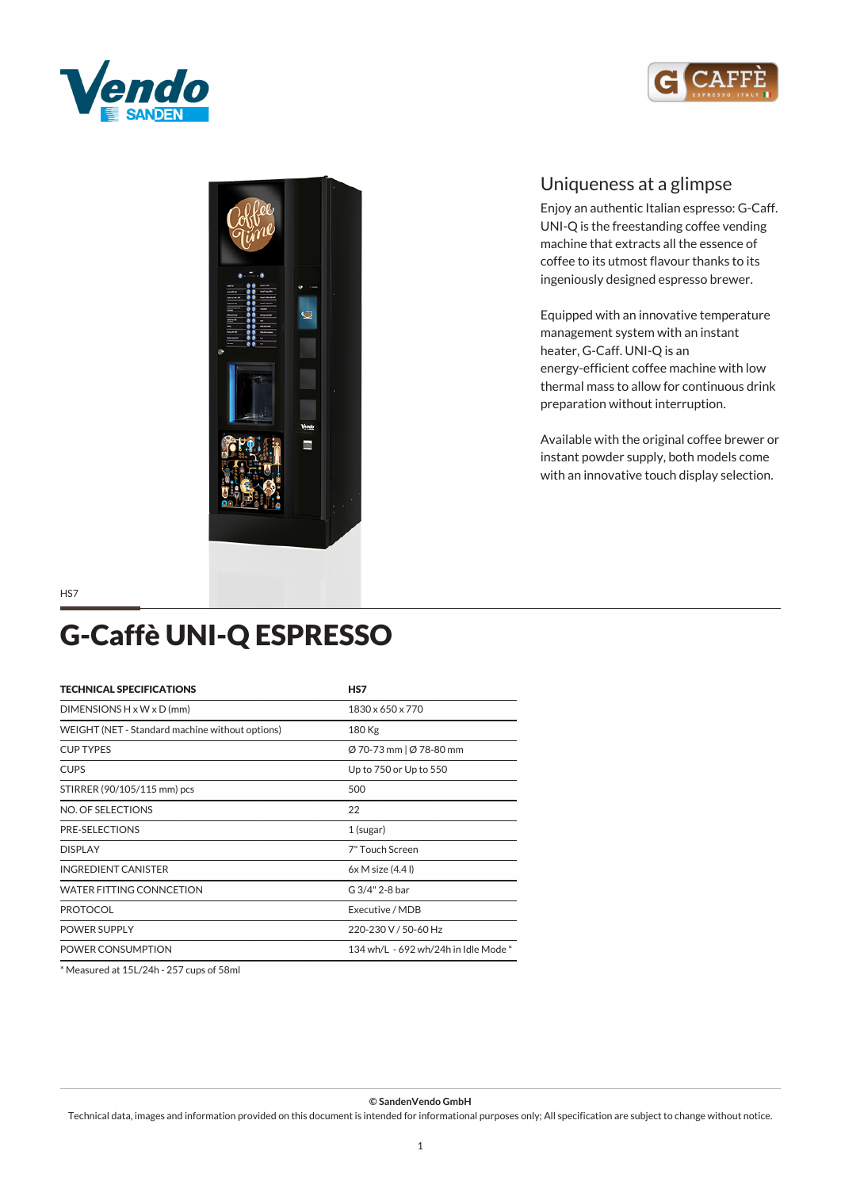





## *Uniqueness at a glimpse*

*Enjoy an authentic Italian espresso: G-Caff. UNI-Q is the freestanding coffee vending machine that extracts all the essence of coffee to its utmost flavour thanks to its ingeniously designed espresso brewer.*

*Equipped with an innovative temperature management system with an instant heater, G-Caff. UNI-Q is an energy-efficient coffee machine with low thermal mass to allow for continuous drink preparation without interruption.*

*Available with the original coffee brewer or instant powder supply, both models come with an innovative touch display selection.*

*HS7*

## *G-Caffè UNI-Q ESPRESSO*

| <b>TECHNICAL SPECIFICATIONS</b>                 | HS7                                  |
|-------------------------------------------------|--------------------------------------|
| DIMENSIONS $H \times W \times D$ (mm)           | 1830 x 650 x 770                     |
| WEIGHT (NET - Standard machine without options) | 180 Kg                               |
| <b>CUP TYPES</b>                                | Ø 70-73 mm   Ø 78-80 mm              |
| <b>CUPS</b>                                     | Up to 750 or Up to 550               |
| STIRRER (90/105/115 mm) pcs                     | 500                                  |
| NO. OF SELECTIONS                               | 22                                   |
| <b>PRE-SELECTIONS</b>                           | $1$ (sugar)                          |
| <b>DISPLAY</b>                                  | 7" Touch Screen                      |
| <b>INGREDIENT CANISTER</b>                      | 6x M size (4.4 l)                    |
| WATER FITTING CONNCETION                        | G 3/4" 2-8 bar                       |
| <b>PROTOCOL</b>                                 | Executive / MDB                      |
| <b>POWER SUPPLY</b>                             | 220-230 V / 50-60 Hz                 |
| POWER CONSUMPTION                               | 134 wh/L - 692 wh/24h in Idle Mode * |

*\* Measured at 15L/24h - 257 cups of 58ml*

*© SandenVendo GmbH*

*Technical data, images and information provided on this document is intended for informational purposes only; All specification are subject to change without notice.*